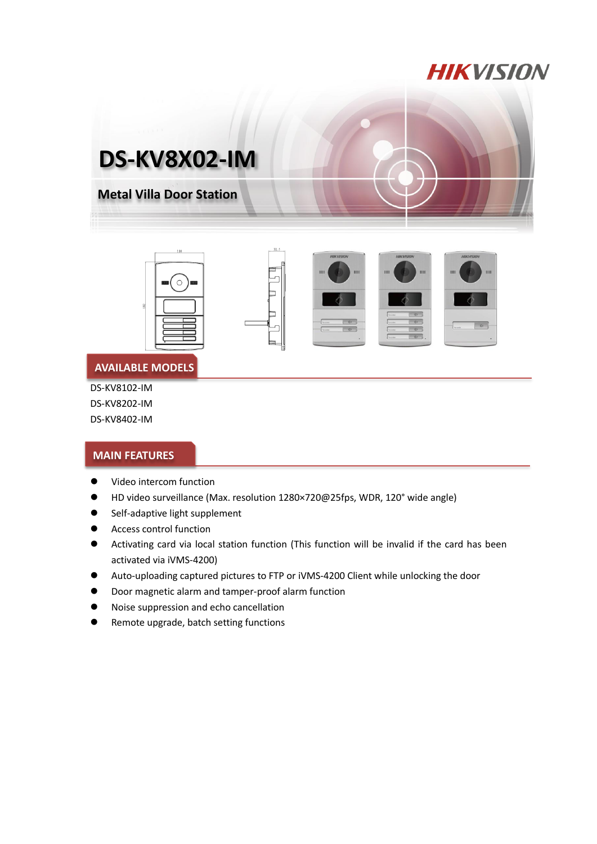# **HIKVISION**











#### **AVAILABLE MODELS**

DS-KV8102-IM DS-KV8202-IM

DS-KV8402-IM

### **MAIN FEATURES**

- **•** Video intercom function
- HD video surveillance (Max. resolution 1280×720@25fps, WDR, 120° wide angle)
- **•** Self-adaptive light supplement
- **•** Access control function
- Activating card via local station function (This function will be invalid if the card has been activated via iVMS-4200)
- Auto-uploading captured pictures to FTP or iVMS-4200 Client while unlocking the door
- Door magnetic alarm and tamper-proof alarm function
- Noise suppression and echo cancellation
- **•** Remote upgrade, batch setting functions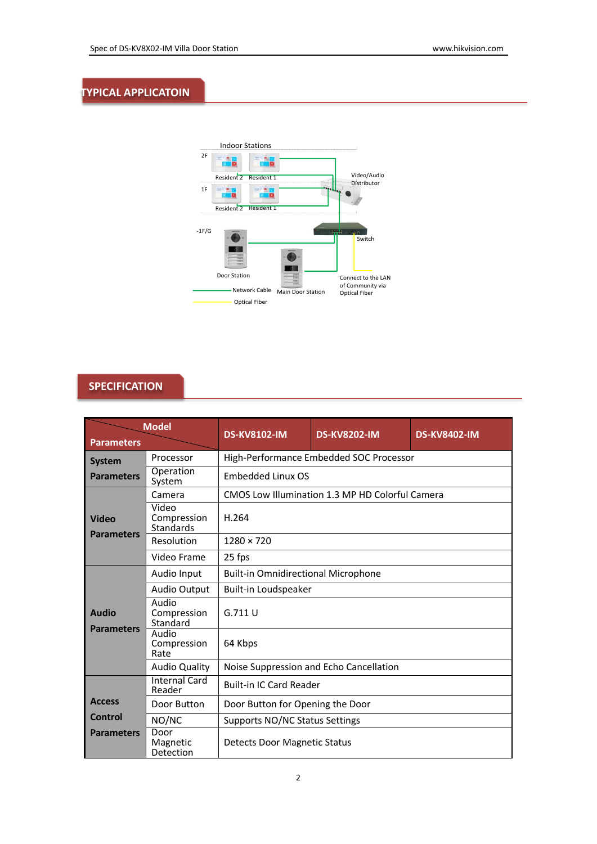#### **TYPICAL APPLICATOIN**



## **SPECIFICATION**

| <b>Model</b><br><b>Parameters</b> |                                          | <b>DS-KV8102-IM</b>                                                 | <b>DS-KV8202-IM</b> | <b>DS-KV8402-IM</b> |  |  |
|-----------------------------------|------------------------------------------|---------------------------------------------------------------------|---------------------|---------------------|--|--|
| <b>System</b>                     | Processor                                | High-Performance Embedded SOC Processor<br><b>Embedded Linux OS</b> |                     |                     |  |  |
| <b>Parameters</b>                 | Operation<br>System                      |                                                                     |                     |                     |  |  |
| Video<br><b>Parameters</b>        | Camera                                   | CMOS Low Illumination 1.3 MP HD Colorful Camera                     |                     |                     |  |  |
|                                   | Video<br>Compression<br><b>Standards</b> | H.264                                                               |                     |                     |  |  |
|                                   | Resolution                               | $1280 \times 720$                                                   |                     |                     |  |  |
|                                   | Video Frame                              | 25 fps                                                              |                     |                     |  |  |
| Audio<br><b>Parameters</b>        | Audio Input                              | <b>Built-in Omnidirectional Microphone</b>                          |                     |                     |  |  |
|                                   | <b>Audio Output</b>                      | Built-in Loudspeaker                                                |                     |                     |  |  |
|                                   | Audio<br>Compression<br>Standard         | G.711U                                                              |                     |                     |  |  |
|                                   | Audio<br>Compression<br>Rate             | 64 Kbps                                                             |                     |                     |  |  |
|                                   | <b>Audio Quality</b>                     | Noise Suppression and Echo Cancellation                             |                     |                     |  |  |
|                                   | <b>Internal Card</b><br>Reader           | <b>Built-in IC Card Reader</b>                                      |                     |                     |  |  |
| <b>Access</b>                     | Door Button                              | Door Button for Opening the Door                                    |                     |                     |  |  |
| Control                           | NO/NC                                    | Supports NO/NC Status Settings                                      |                     |                     |  |  |
| <b>Parameters</b>                 | Door<br>Magnetic<br>Detection            | Detects Door Magnetic Status                                        |                     |                     |  |  |